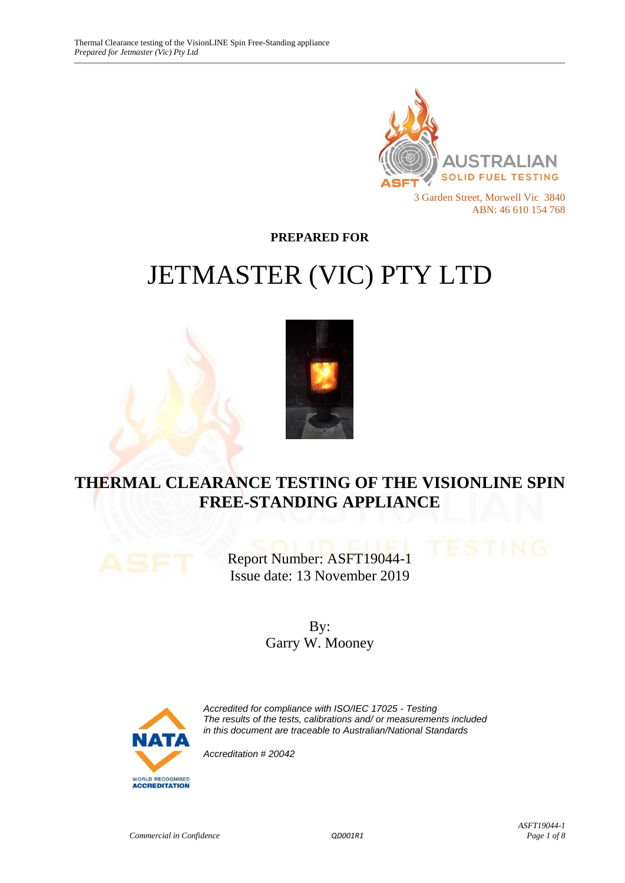

**PREPARED FOR**

# JETMASTER (VIC) PTY LTD



# **THERMAL CLEARANCE TESTING OF THE VISIONLINE SPIN FREE-STANDING APPLIANCE**

Report Number: ASFT19044-1 Issue date: 13 November 2019

> By: Garry W. Mooney



*Accredited for compliance with ISO/IEC 17025 - Testing The results of the tests, calibrations and/ or measurements included in this document are traceable to Australian/National Standards*

*Accreditation # 20042*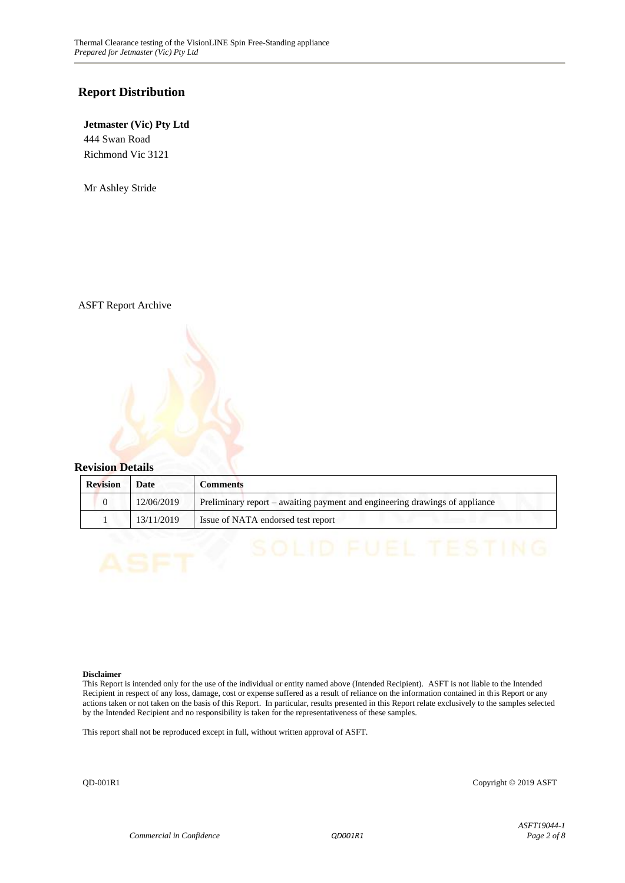#### **Report Distribution**

**Jetmaster (Vic) Pty Ltd** 444 Swan Road Richmond Vic 3121

Mr Ashley Stride

ASFT Report Archive



| <b>Revision</b> | Date       | <b>Comments</b>                                                             |
|-----------------|------------|-----------------------------------------------------------------------------|
|                 | 12/06/2019 | Preliminary report – awaiting payment and engineering drawings of appliance |
|                 | 13/11/2019 | Issue of NATA endorsed test report                                          |

#### **Disclaimer**

This Report is intended only for the use of the individual or entity named above (Intended Recipient). ASFT is not liable to the Intended Recipient in respect of any loss, damage, cost or expense suffered as a result of reliance on the information contained in this Report or any actions taken or not taken on the basis of this Report. In particular, results presented in this Report relate exclusively to the samples selected by the Intended Recipient and no responsibility is taken for the representativeness of these samples.

This report shall not be reproduced except in full, without written approval of ASFT.

QD-001R1 Copyright © 2019 ASFT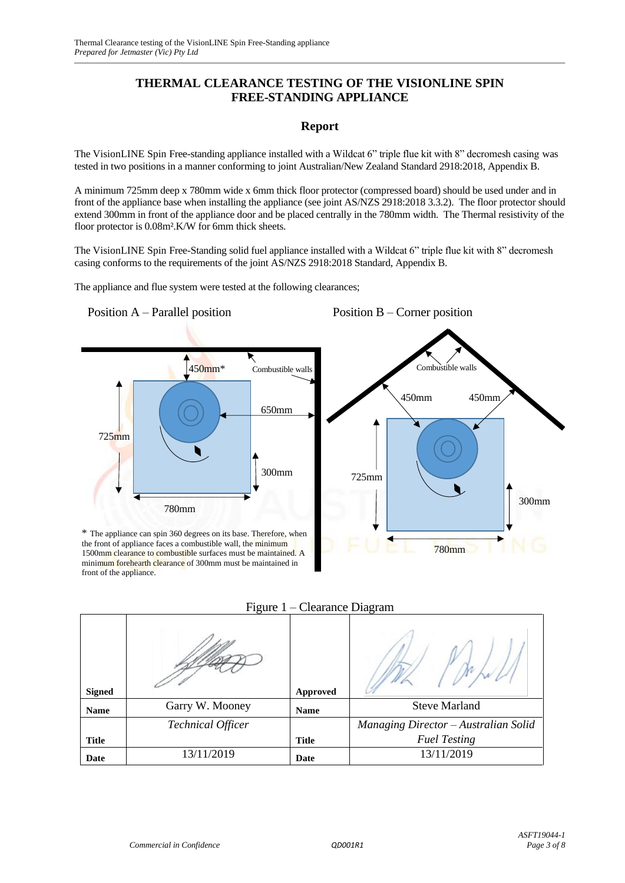#### **THERMAL CLEARANCE TESTING OF THE VISIONLINE SPIN FREE-STANDING APPLIANCE**

#### **Report**

The VisionLINE Spin Free-standing appliance installed with a Wildcat 6" triple flue kit with 8" decromesh casing was tested in two positions in a manner conforming to joint Australian/New Zealand Standard 2918:2018, Appendix B.

A minimum 725mm deep x 780mm wide x 6mm thick floor protector (compressed board) should be used under and in front of the appliance base when installing the appliance (see joint AS/NZS 2918:2018 3.3.2). The floor protector should extend 300mm in front of the appliance door and be placed centrally in the 780mm width. The Thermal resistivity of the floor protector is 0.08m².K/W for 6mm thick sheets.

The VisionLINE Spin Free-Standing solid fuel appliance installed with a Wildcat 6" triple flue kit with 8" decromesh casing conforms to the requirements of the joint AS/NZS 2918:2018 Standard, Appendix B.

The appliance and flue system were tested at the following clearances;



| <b>Signed</b> |                          | <b>Approved</b> |                                      |
|---------------|--------------------------|-----------------|--------------------------------------|
| <b>Name</b>   | Garry W. Mooney          | <b>Name</b>     | <b>Steve Marland</b>                 |
|               | <b>Technical Officer</b> |                 | Managing Director - Australian Solid |
| <b>Title</b>  |                          | <b>Title</b>    | <b>Fuel Testing</b>                  |
| Date          | 13/11/2019               | Date            | 13/11/2019                           |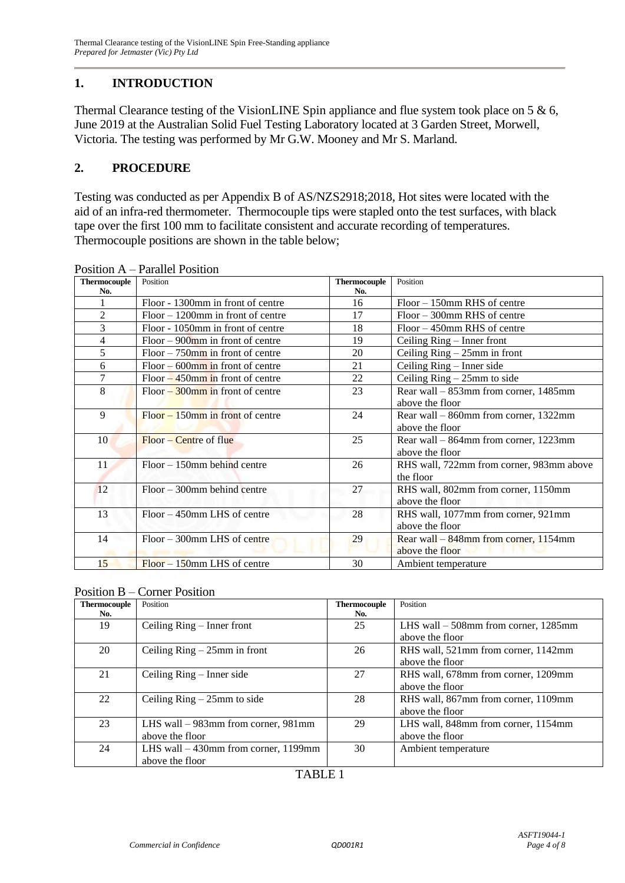# **1. INTRODUCTION**

Thermal Clearance testing of the VisionLINE Spin appliance and flue system took place on 5 & 6, June 2019 at the Australian Solid Fuel Testing Laboratory located at 3 Garden Street, Morwell, Victoria. The testing was performed by Mr G.W. Mooney and Mr S. Marland.

### **2. PROCEDURE**

Testing was conducted as per Appendix B of AS/NZS2918;2018, Hot sites were located with the aid of an infra-red thermometer. Thermocouple tips were stapled onto the test surfaces, with black tape over the first 100 mm to facilitate consistent and accurate recording of temperatures. Thermocouple positions are shown in the table below;

| <b>Thermocouple</b> | Position                             | <b>Thermocouple</b> | Position                                 |
|---------------------|--------------------------------------|---------------------|------------------------------------------|
| No.                 |                                      | No.                 |                                          |
| 1                   | Floor - 1300mm in front of centre    | 16                  | $Floor - 150$ mm RHS of centre           |
| 2                   | $Floor - 1200$ mm in front of centre | 17                  | $Floor - 300$ mm RHS of centre           |
| 3                   | Floor - 1050mm in front of centre    | 18                  | $Floor - 450$ mm RHS of centre           |
| 4                   | $Floor - 900$ mm in front of centre  | 19                  | Ceiling Ring – Inner front               |
| 5                   | $Floor - 750$ mm in front of centre  | 20                  | Ceiling $Ring - 25mm$ in front           |
| 6                   | $Floor - 600$ mm in front of centre  | 21                  | Ceiling $Ring - Inner side$              |
| 7                   | $Floor - 450$ mm in front of centre  | 22                  | Ceiling $Ring - 25mm$ to side            |
| 8                   | $Floor - 300$ mm in front of centre  | 23                  | Rear wall – 853mm from corner, 1485mm    |
|                     |                                      |                     | above the floor                          |
| 9                   | $Floor - 150$ mm in front of centre  | 24                  | Rear wall $-860$ mm from corner, 1322mm  |
|                     |                                      |                     | above the floor                          |
| 10                  | Floor – Centre of flue               | 25                  | Rear wall $-864$ mm from corner, 1223mm  |
|                     |                                      |                     | above the floor                          |
| 11                  | $Floor - 150$ mm behind centre       | 26                  | RHS wall, 722mm from corner, 983mm above |
|                     |                                      |                     | the floor                                |
| 12                  | $Floor - 300$ mm behind centre       | 27                  | RHS wall, 802mm from corner, 1150mm      |
|                     |                                      |                     | above the floor                          |
| 13                  | Floor – 450mm LHS of centre          | 28                  | RHS wall, 1077mm from corner, 921mm      |
|                     |                                      |                     | above the floor                          |
| 14                  | Floor – 300mm LHS of centre          | 29                  | Rear wall – 848mm from corner, 1154mm    |
|                     |                                      |                     | above the floor                          |
| 15                  | $Floor - 150$ mm LHS of centre       | 30                  | Ambient temperature                      |

Position A – Parallel Position

| <b>Thermocouple</b> | Position                               | <b>Thermocouple</b> | Position                               |
|---------------------|----------------------------------------|---------------------|----------------------------------------|
| No.                 |                                        | No.                 |                                        |
| 19                  | Ceiling Ring – Inner front             | 25                  | LHS wall $-508$ mm from corner, 1285mm |
|                     |                                        |                     | above the floor                        |
| 20                  | Ceiling $Ring - 25mm$ in front         | 26                  | RHS wall, 521mm from corner, 1142mm    |
|                     |                                        |                     | above the floor                        |
| 21                  | Ceiling $Ring - Inner side$            | 27                  | RHS wall, 678mm from corner, 1209mm    |
|                     |                                        |                     | above the floor                        |
| 22                  | Ceiling $Ring - 25mm$ to side          | 28                  | RHS wall, 867mm from corner, 1109mm    |
|                     |                                        |                     | above the floor                        |
| 23                  | LHS wall $-983$ mm from corner, 981mm  | 29                  | LHS wall, 848mm from corner, 1154mm    |
|                     | above the floor                        |                     | above the floor                        |
| 24                  | LHS wall $-430$ mm from corner, 1199mm | 30                  | Ambient temperature                    |
|                     | above the floor                        |                     |                                        |

#### TABLE 1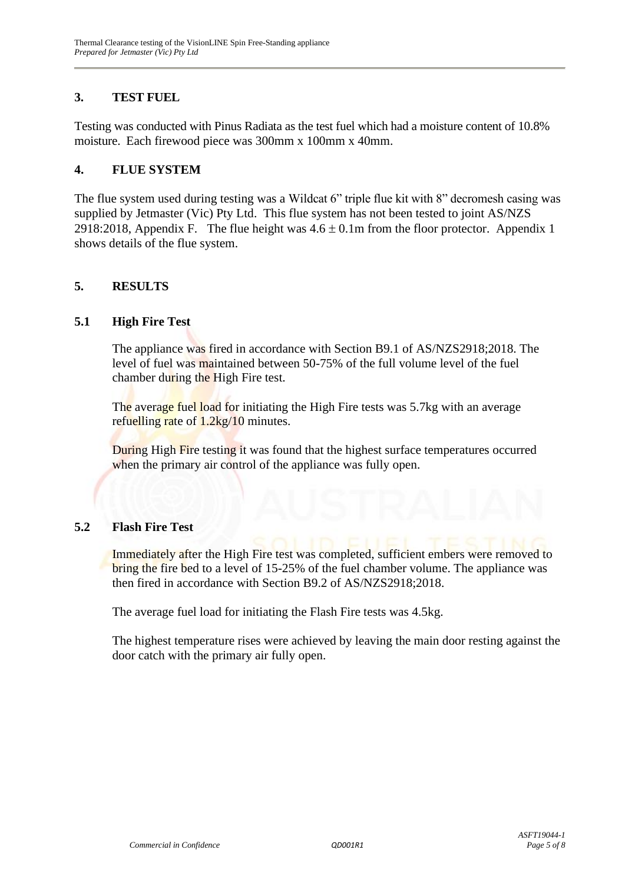### **3. TEST FUEL**

Testing was conducted with Pinus Radiata as the test fuel which had a moisture content of 10.8% moisture. Each firewood piece was 300mm x 100mm x 40mm.

#### **4. FLUE SYSTEM**

The flue system used during testing was a Wildcat 6" triple flue kit with 8" decromesh casing was supplied by Jetmaster (Vic) Pty Ltd. This flue system has not been tested to joint AS/NZS 2918:2018, Appendix F. The flue height was  $4.6 \pm 0.1$ m from the floor protector. Appendix 1 shows details of the flue system.

#### **5. RESULTS**

#### **5.1 High Fire Test**

The appliance was fired in accordance with Section B9.1 of AS/NZS2918;2018. The level of fuel was maintained between 50-75% of the full volume level of the fuel chamber during the High Fire test.

The average fuel load for initiating the High Fire tests was 5.7kg with an average refuelling rate of  $1.2\text{kg}/10$  minutes.

During High Fire testing it was found that the highest surface temperatures occurred when the primary air control of the appliance was fully open.

#### **5.2 Flash Fire Test**

Immediately after the High Fire test was completed, sufficient embers were removed to bring the fire bed to a level of 15-25% of the fuel chamber volume. The appliance was then fired in accordance with Section B9.2 of AS/NZS2918;2018.

The average fuel load for initiating the Flash Fire tests was 4.5kg.

The highest temperature rises were achieved by leaving the main door resting against the door catch with the primary air fully open.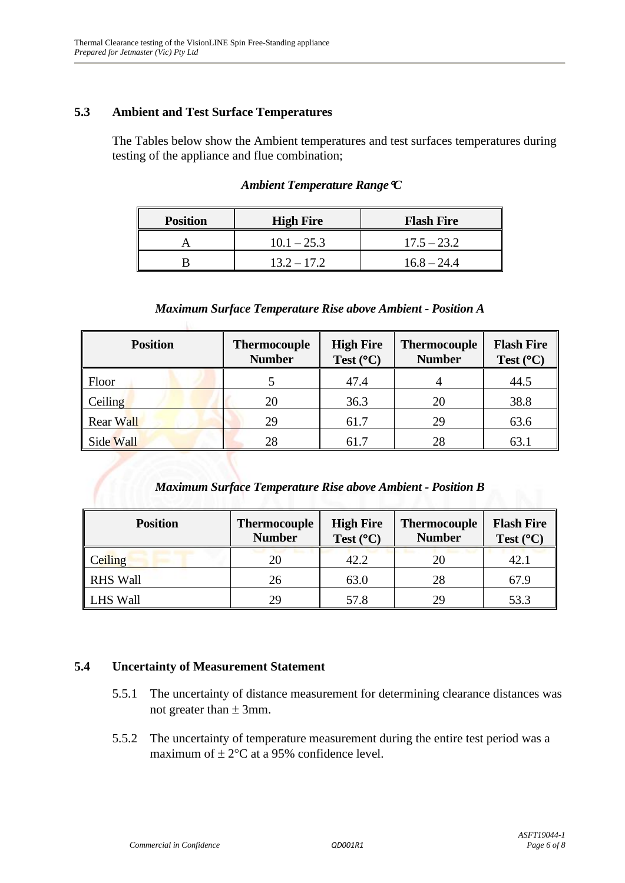#### **5.3 Ambient and Test Surface Temperatures**

The Tables below show the Ambient temperatures and test surfaces temperatures during testing of the appliance and flue combination;

| <b>Position</b> | <b>High Fire</b> | <b>Flash Fire</b> |
|-----------------|------------------|-------------------|
|                 | $10.1 - 25.3$    | $17.5 - 23.2$     |
|                 | $13.2 - 17.2$    | $16.8 - 24.4$     |

#### *Ambient Temperature RangeC*

#### *Maximum Surface Temperature Rise above Ambient - Position A*

| <b>Position</b>  | <b>Thermocouple</b><br><b>Number</b> | <b>High Fire</b><br>Test $(^{\circ}C)$ | <b>Thermocouple</b><br><b>Number</b> | <b>Flash Fire</b><br>Test $(^{\circ}C)$ |
|------------------|--------------------------------------|----------------------------------------|--------------------------------------|-----------------------------------------|
| Floor            |                                      | 47.4                                   |                                      | 44.5                                    |
| Ceiling          | 20                                   | 36.3                                   | 20                                   | 38.8                                    |
| <b>Rear Wall</b> | 29                                   | 61.7                                   | 29                                   | 63.6                                    |
| Side Wall        | 28                                   | 61.7                                   | 28                                   | 63.1                                    |

#### *Maximum Surface Temperature Rise above Ambient - Position B*

| <b>Position</b> | <b>Thermocouple</b><br><b>Number</b> | <b>High Fire</b><br>Test $(^{\circ}C)$ | <b>Thermocouple</b><br><b>Number</b> | <b>Flash Fire</b><br>Test $(^{\circ}C)$ |
|-----------------|--------------------------------------|----------------------------------------|--------------------------------------|-----------------------------------------|
| <b>Ceiling</b>  | 20                                   | 42.2                                   | 20                                   | 42.1                                    |
| <b>RHS Wall</b> | 26                                   | 63.0                                   | 28                                   | 67.9                                    |
| <b>LHS Wall</b> | 29                                   | 57.8                                   | 29                                   | 53.3                                    |

#### **5.4 Uncertainty of Measurement Statement**

- 5.5.1 The uncertainty of distance measurement for determining clearance distances was not greater than  $\pm$  3mm.
- 5.5.2 The uncertainty of temperature measurement during the entire test period was a maximum of  $\pm 2$ °C at a 95% confidence level.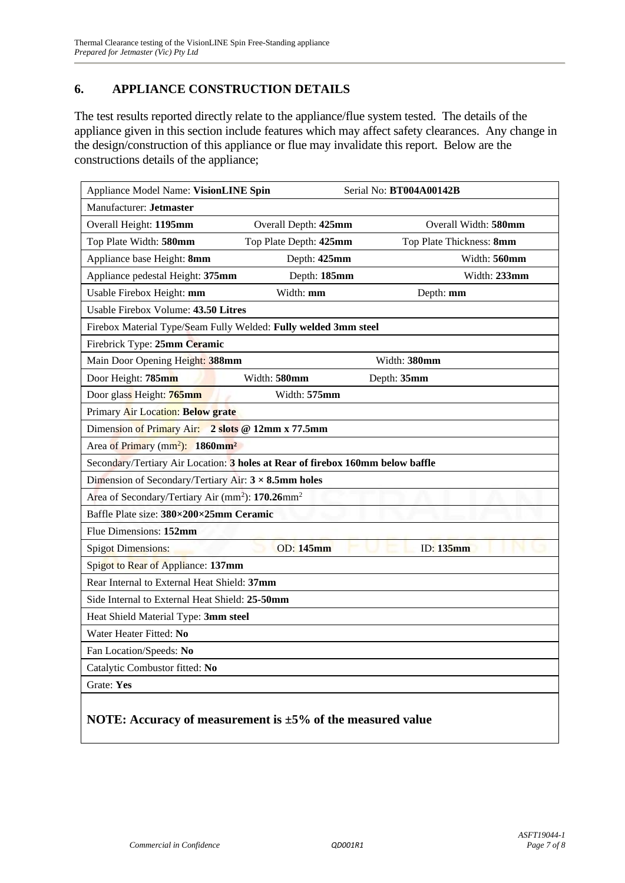### **6. APPLIANCE CONSTRUCTION DETAILS**

The test results reported directly relate to the appliance/flue system tested. The details of the appliance given in this section include features which may affect safety clearances. Any change in the design/construction of this appliance or flue may invalidate this report. Below are the constructions details of the appliance;

| Appliance Model Name: VisionLINE Spin<br>Serial No: BT004A00142B               |                         |                          |  |  |  |  |
|--------------------------------------------------------------------------------|-------------------------|--------------------------|--|--|--|--|
| Manufacturer: Jetmaster                                                        |                         |                          |  |  |  |  |
| Overall Height: 1195mm                                                         | Overall Depth: 425mm    | Overall Width: 580mm     |  |  |  |  |
| Top Plate Width: 580mm                                                         | Top Plate Depth: 425mm  | Top Plate Thickness: 8mm |  |  |  |  |
| Appliance base Height: 8mm                                                     | Depth: 425mm            | Width: 560mm             |  |  |  |  |
| Appliance pedestal Height: 375mm                                               | Depth: 185mm            | Width: 233mm             |  |  |  |  |
| Usable Firebox Height: mm                                                      | Width: mm               | Depth: mm                |  |  |  |  |
| Usable Firebox Volume: 43.50 Litres                                            |                         |                          |  |  |  |  |
| Firebox Material Type/Seam Fully Welded: Fully welded 3mm steel                |                         |                          |  |  |  |  |
| Firebrick Type: 25mm Ceramic                                                   |                         |                          |  |  |  |  |
| Main Door Opening Height: 388mm                                                |                         | Width: 380mm             |  |  |  |  |
| Door Height: 785mm                                                             | Width: 580mm            | Depth: 35mm              |  |  |  |  |
| Door glass Height: 765mm                                                       | Width: 575mm            |                          |  |  |  |  |
| Primary Air Location: Below grate                                              |                         |                          |  |  |  |  |
| Dimension of Primary Air:                                                      | 2 slots @ 12mm x 77.5mm |                          |  |  |  |  |
| Area of Primary (mm <sup>2</sup> ): 1860mm <sup>2</sup>                        |                         |                          |  |  |  |  |
| Secondary/Tertiary Air Location: 3 holes at Rear of firebox 160mm below baffle |                         |                          |  |  |  |  |
| Dimension of Secondary/Tertiary Air: $3 \times 8.5$ mm holes                   |                         |                          |  |  |  |  |
| Area of Secondary/Tertiary Air (mm <sup>2</sup> ): 170.26mm <sup>2</sup>       |                         |                          |  |  |  |  |
| Baffle Plate size: 380×200×25mm Ceramic                                        |                         |                          |  |  |  |  |
| Flue Dimensions: 152mm                                                         |                         |                          |  |  |  |  |
| <b>Spigot Dimensions:</b>                                                      | <b>OD:</b> 145mm        | ID: 135mm                |  |  |  |  |
| Spigot to Rear of Appliance: 137mm                                             |                         |                          |  |  |  |  |
| Rear Internal to External Heat Shield: 37mm                                    |                         |                          |  |  |  |  |
| Side Internal to External Heat Shield: 25-50mm                                 |                         |                          |  |  |  |  |
| Heat Shield Material Type: 3mm steel                                           |                         |                          |  |  |  |  |
| Water Heater Fitted: No                                                        |                         |                          |  |  |  |  |
| Fan Location/Speeds: No                                                        |                         |                          |  |  |  |  |
| Catalytic Combustor fitted: No                                                 |                         |                          |  |  |  |  |
| Grate: Yes                                                                     |                         |                          |  |  |  |  |
| NOTE: Accuracy of measurement is $\pm 5\%$ of the measured value               |                         |                          |  |  |  |  |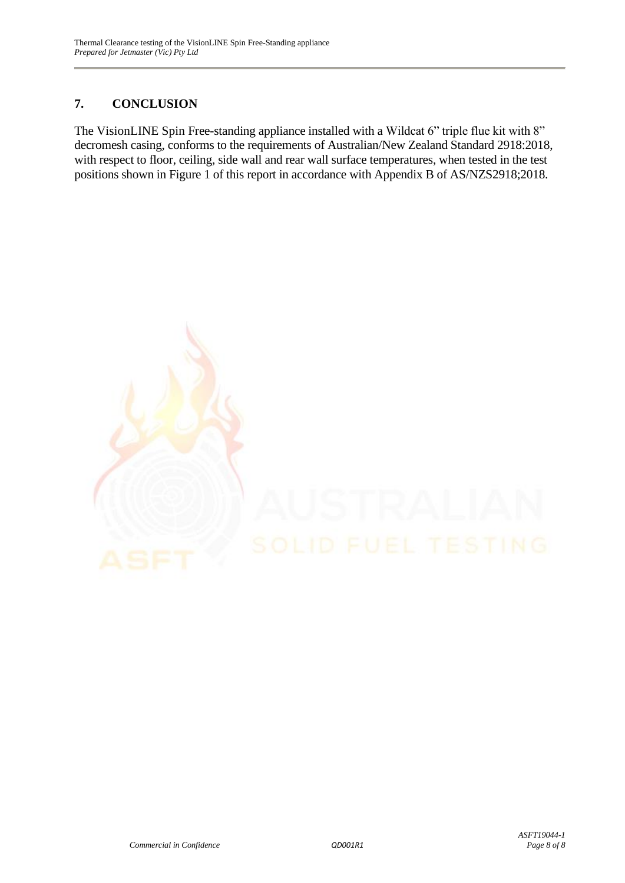# **7. CONCLUSION**

The VisionLINE Spin Free-standing appliance installed with a Wildcat 6" triple flue kit with 8" decromesh casing, conforms to the requirements of Australian/New Zealand Standard 2918:2018, with respect to floor, ceiling, side wall and rear wall surface temperatures, when tested in the test positions shown in Figure 1 of this report in accordance with Appendix B of AS/NZS2918;2018.